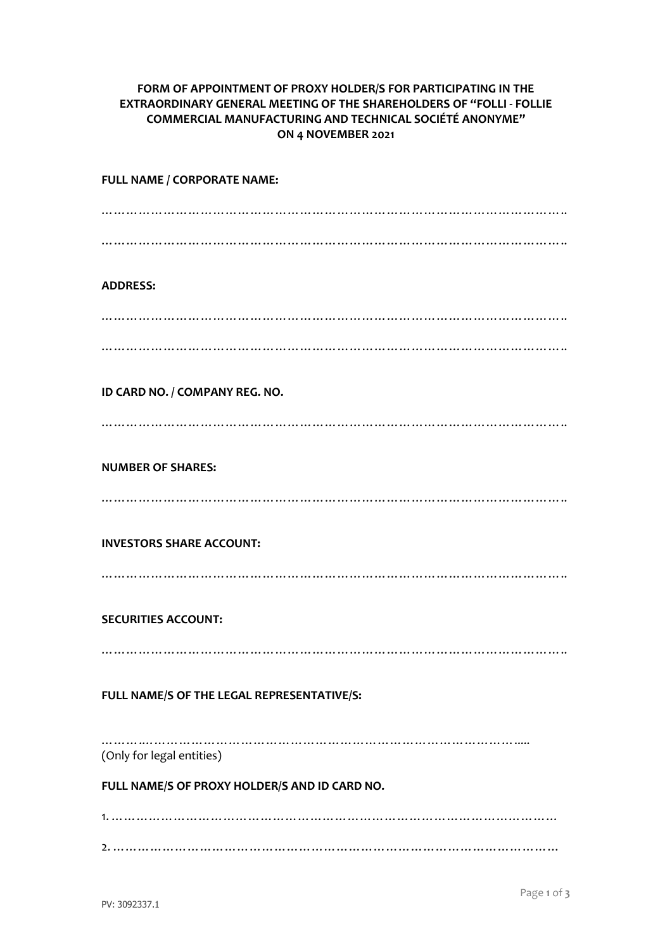## **FORM OF APPOINTMENT OF PROXY HOLDER/S FOR PARTICIPATING IN THE EXTRAORDINARY GENERAL MEETING OF THE SHAREHOLDERS OF "FOLLI - FOLLIE COMMERCIAL MANUFACTURING AND TECHNICAL SOCIÉTÉ ANONYME" ON 4 NOVEMBER 2021**

| FULL NAME / CORPORATE NAME:                   |
|-----------------------------------------------|
|                                               |
|                                               |
| <b>ADDRESS:</b>                               |
|                                               |
|                                               |
|                                               |
| ID CARD NO. / COMPANY REG. NO.                |
|                                               |
| <b>NUMBER OF SHARES:</b>                      |
|                                               |
| <b>INVESTORS SHARE ACCOUNT:</b>               |
|                                               |
|                                               |
| <b>SECURITIES ACCOUNT:</b>                    |
|                                               |
| FULL NAME/S OF THE LEGAL REPRESENTATIVE/S:    |
|                                               |
| (Only for legal entities)                     |
| FULL NAME/S OF PROXY HOLDER/S AND ID CARD NO. |
|                                               |
|                                               |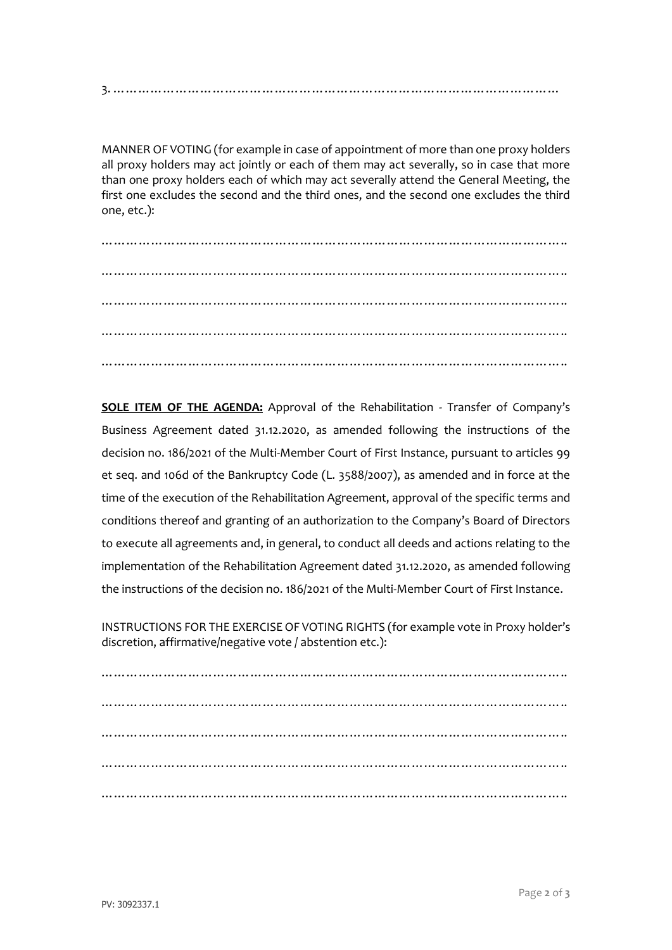3. ………………………………………………………………………………………………

MANNER OF VOTING (for example in case of appointment of more than one proxy holders all proxy holders may act jointly or each of them may act severally, so in case that more than one proxy holders each of which may act severally attend the General Meeting, the first one excludes the second and the third ones, and the second one excludes the third one, etc.):

………………………………………………………………………………………………….. ………………………………………………………………………………………………….. ………………………………………………………………………………………………….. ………………………………………………………………………………………………….. …………………………………………………………………………………………………..

**SOLE ITEM OF THE AGENDA:** Approval of the Rehabilitation - Transfer of Company's Business Agreement dated 31.12.2020, as amended following the instructions of the decision no. 186/2021 of the Multi-Member Court of First Instance, pursuant to articles 99 et seq. and 106d of the Bankruptcy Code (L. 3588/2007), as amended and in force at the time of the execution of the Rehabilitation Agreement, approval of the specific terms and conditions thereof and granting of an authorization to the Company's Board of Directors to execute all agreements and, in general, to conduct all deeds and actions relating to the implementation of the Rehabilitation Agreement dated 31.12.2020, as amended following the instructions of the decision no. 186/2021 of the Multi-Member Court of First Instance.

INSTRUCTIONS FOR THE EXERCISE OF VOTING RIGHTS (for example vote in Proxy holder's discretion, affirmative/negative vote / abstention etc.):

………………………………………………………………………………………………….. ………………………………………………………………………………………………….. ………………………………………………………………………………………………… ………………………………………………………………………………………………….. …………………………………………………………………………………………………..